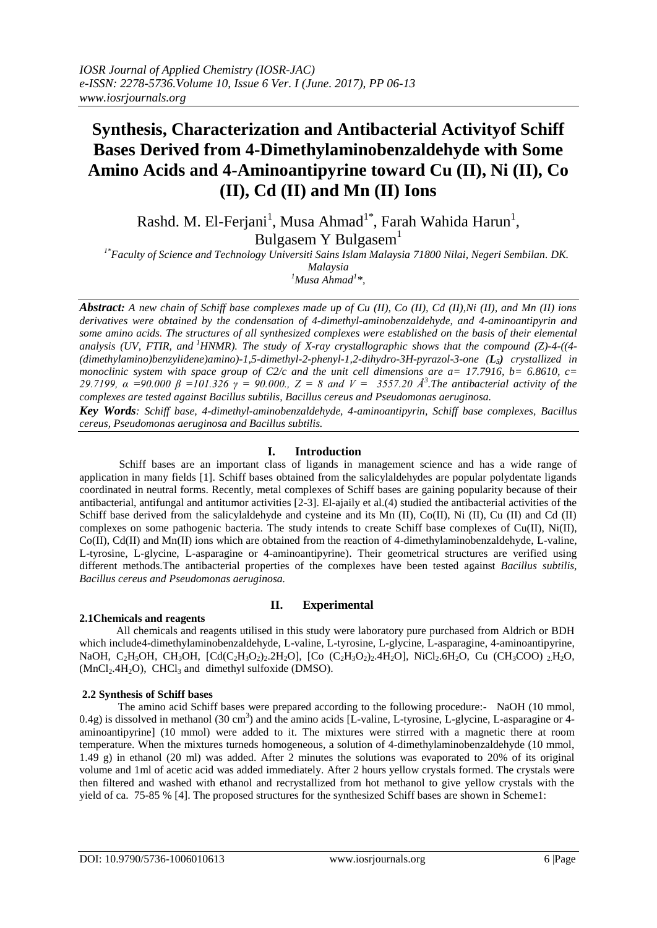# **Synthesis, Characterization and Antibacterial Activityof Schiff Bases Derived from 4-Dimethylaminobenzaldehyde with Some Amino Acids and 4-Aminoantipyrine toward Cu (II), Ni (II), Co (II), Cd (II) and Mn (II) Ions**

Rashd. M. El-Ferjani<sup>1</sup>, Musa Ahmad<sup>1\*</sup>, Farah Wahida Harun<sup>1</sup>, Bulgasem Y Bulgasem<sup>1</sup>

 *1\*Faculty of Science and Technology Universiti Sains Islam Malaysia 71800 Nilai, Negeri Sembilan. DK. Malaysia* 

*<sup>1</sup>Musa Ahmad<sup>1</sup> \*,*

*Abstract: A new chain of Schiff base complexes made up of Cu (II), Co (II), Cd (II),Ni (II), and Mn (II) ions derivatives were obtained by the condensation of 4-dimethyl-aminobenzaldehyde, and 4-aminoantipyrin and some amino acids. The structures of all synthesized complexes were established on the basis of their elemental analysis (UV, FTIR, and <sup>1</sup>HNMR). The study of X-ray crystallographic shows that the compound (Z)-4-((4- (dimethylamino)benzylidene)amino)-1,5-dimethyl-2-phenyl-1,2-dihydro-3H-pyrazol-3-one (L5) crystallized in monoclinic system with space group of C2/c and the unit cell dimensions are a= 17.7916, b= 6.8610, c= 29.7199, α =90.000 β =101.326 γ = 90.000., Z = 8 and V = 3557.20 Å<sup>3</sup> .The antibacterial activity of the complexes are tested against Bacillus subtilis, Bacillus cereus and Pseudomonas aeruginosa.* 

*Key Words: Schiff base, 4-dimethyl-aminobenzaldehyde, 4-aminoantipyrin, Schiff base complexes, Bacillus cereus, Pseudomonas aeruginosa and Bacillus subtilis.*

# **I. Introduction**

Schiff bases are an important class of ligands in management science and has a wide range of application in many fields [1]. Schiff bases obtained from the salicylaldehydes are popular polydentate ligands coordinated in neutral forms. Recently, metal complexes of Schiff bases are gaining popularity because of their antibacterial, antifungal and antitumor activities [2-3]. El-ajaily et al.(4) studied the antibacterial activities of the Schiff base derived from the salicylaldehyde and cysteine and its Mn (II), Co(II), Ni (II), Cu (II) and Cd (II) complexes on some pathogenic bacteria. The study intends to create Schiff base complexes of Cu(II), Ni(II), Co(II), Cd(II) and Mn(II) ions which are obtained from the reaction of 4-dimethylaminobenzaldehyde, L-valine, L-tyrosine, L-glycine, L-asparagine or 4-aminoantipyrine). Their geometrical structures are verified using different methods.The antibacterial properties of the complexes have been tested against *Bacillus subtilis, Bacillus cereus and Pseudomonas aeruginosa.*

## **2.1Chemicals and reagents**

## **II. Experimental**

 All chemicals and reagents utilised in this study were laboratory pure purchased from Aldrich or BDH which include4-dimethylaminobenzaldehyde, L-valine, L-tyrosine, L-glycine, L-asparagine, 4-aminoantipyrine, NaOH, C<sub>2</sub>H<sub>3</sub>OH, CH<sub>3</sub>OH, [Cd(C<sub>2</sub>H<sub>3</sub>O<sub>2</sub>)<sub>2</sub>.2H<sub>2</sub>O], [Co (C<sub>2</sub>H<sub>3</sub>O<sub>2</sub>)<sub>2</sub>.4H<sub>2</sub>O], NiCl<sub>2</sub>.6H<sub>2</sub>O, Cu (CH<sub>3</sub>COO) <sub>2</sub>H<sub>2</sub>O,  $(MnCl<sub>2</sub>.4H<sub>2</sub>O)$ , CHCl<sub>3</sub> and dimethyl sulfoxide (DMSO).

## **2.2 Synthesis of Schiff bases**

 The amino acid Schiff bases were prepared according to the following procedure:- NaOH (10 mmol, 0.4g) is dissolved in methanol (30 cm<sup>3</sup>) and the amino acids [L-valine, L-tyrosine, L-glycine, L-asparagine or 4aminoantipyrine] (10 mmol) were added to it. The mixtures were stirred with a magnetic there at room temperature. When the mixtures turneds homogeneous, a solution of 4-dimethylaminobenzaldehyde (10 mmol, 1.49 g) in ethanol (20 ml) was added. After 2 minutes the solutions was evaporated to 20% of its original volume and 1ml of acetic acid was added immediately. After 2 hours yellow crystals formed. The crystals were then filtered and washed with ethanol and recrystallized from hot methanol to give yellow crystals with the yield of ca. 75-85 % [4]. The proposed structures for the synthesized Schiff bases are shown in Scheme1: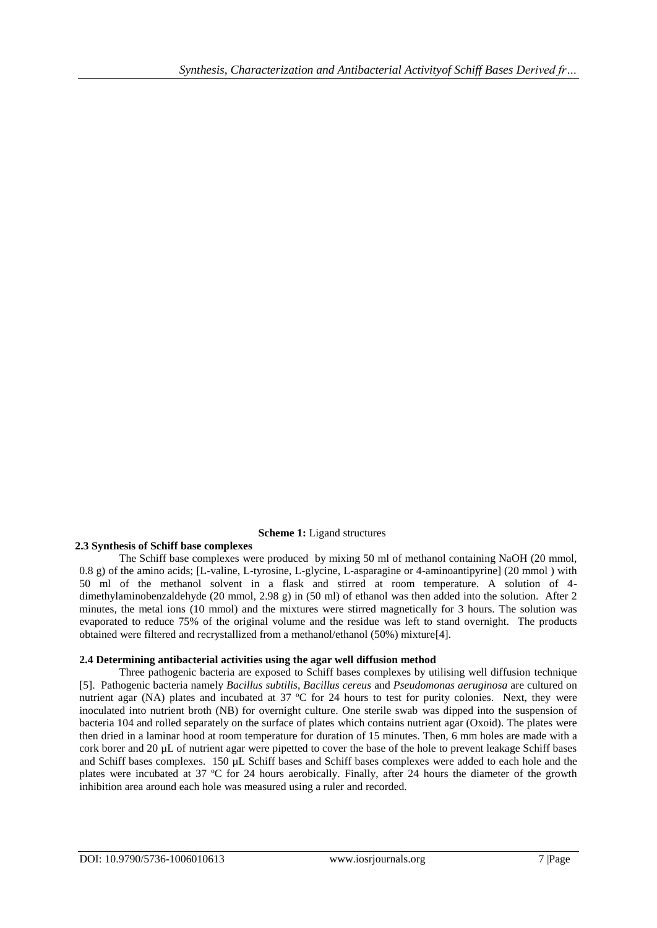## **Scheme 1:** Ligand structures

#### **2.3 Synthesis of Schiff base complexes**

The Schiff base complexes were produced by mixing 50 ml of methanol containing NaOH (20 mmol, 0.8 g) of the amino acids; [L-valine, L-tyrosine, L-glycine, L-asparagine or 4-aminoantipyrine] (20 mmol ) with 50 ml of the methanol solvent in a flask and stirred at room temperature. A solution of 4 dimethylaminobenzaldehyde (20 mmol, 2.98 g) in (50 ml) of ethanol was then added into the solution. After 2 minutes, the metal ions (10 mmol) and the mixtures were stirred magnetically for 3 hours. The solution was evaporated to reduce 75% of the original volume and the residue was left to stand overnight. The products obtained were filtered and recrystallized from a methanol/ethanol (50%) mixture[4].

#### **2.4 Determining antibacterial activities using the agar well diffusion method**

Three pathogenic bacteria are exposed to Schiff bases complexes by utilising well diffusion technique [5]. Pathogenic bacteria namely *Bacillus subtilis*, *Bacillus cereus* and *Pseudomonas aeruginosa* are cultured on nutrient agar (NA) plates and incubated at 37 ºC for 24 hours to test for purity colonies. Next, they were inoculated into nutrient broth (NB) for overnight culture. One sterile swab was dipped into the suspension of bacteria 104 and rolled separately on the surface of plates which contains nutrient agar (Oxoid). The plates were then dried in a laminar hood at room temperature for duration of 15 minutes. Then, 6 mm holes are made with a cork borer and 20 µL of nutrient agar were pipetted to cover the base of the hole to prevent leakage Schiff bases and Schiff bases complexes. 150 µL Schiff bases and Schiff bases complexes were added to each hole and the plates were incubated at 37 ºC for 24 hours aerobically. Finally, after 24 hours the diameter of the growth inhibition area around each hole was measured using a ruler and recorded.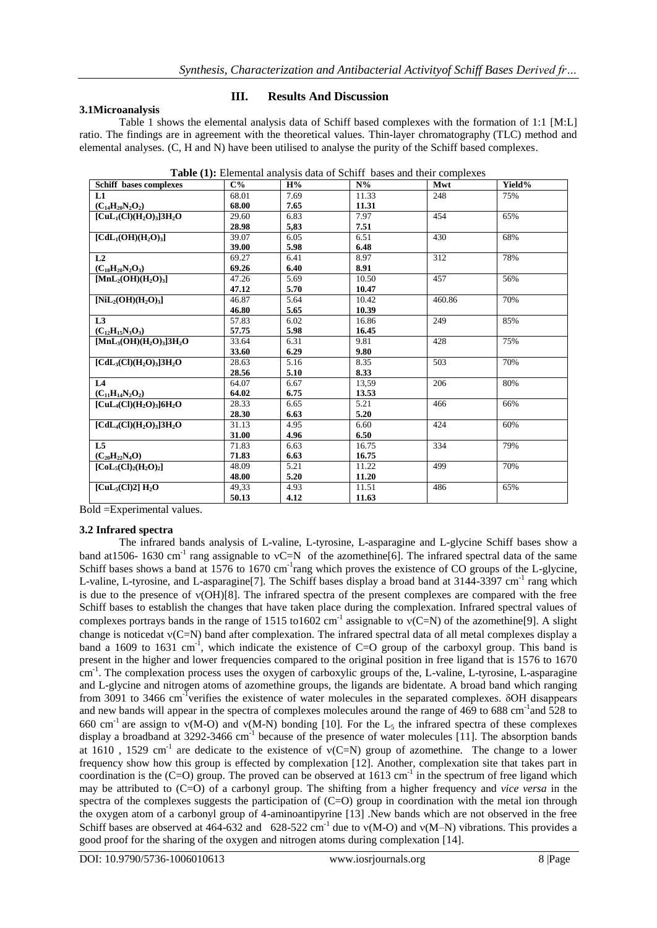#### **3.1Microanalysis**

#### **III. Results And Discussion**

Table 1 shows the elemental analysis data of Schiff based complexes with the formation of 1:1 [M:L] ratio. The findings are in agreement with the theoretical values. Thin-layer chromatography (TLC) method and elemental analyses. (C, H and N) have been utilised to analyse the purity of the Schiff based complexes.

| Schiff bases complexes                                                    | $C\%$ | H%                | $N\%$ | Mwt    | Yield% |
|---------------------------------------------------------------------------|-------|-------------------|-------|--------|--------|
| L1                                                                        | 68.01 | 7.69              | 11.33 | 248    | 75%    |
| $(C_{14}H_{20}N_2O_2)$                                                    | 68.00 | 7.65              | 11.31 |        |        |
| $[CuL1(Cl)(H2O)3]3H2O$                                                    | 29.60 | 6.83              | 7.97  | 454    | 65%    |
|                                                                           | 28.98 | 5,83              | 7.51  |        |        |
| $\text{[CdL}_1(\text{OH})(\text{H}_2\text{O})_3$                          | 39.07 | 6.05              | 6.51  | 430    | 68%    |
|                                                                           | 39.00 | 5.98              | 6.48  |        |        |
| L <sub>2</sub>                                                            | 69.27 | 6.41              | 8.97  | 312    | 78%    |
| $(C_{18}H_{20}N_2O_3)$                                                    | 69.26 | 6.40              | 8.91  |        |        |
| $[MnL2(OH)(H2O)3]$                                                        | 47.26 | 5.69              | 10.50 | 457    | 56%    |
|                                                                           | 47.12 | 5.70              | 10.47 |        |        |
| $[NiL_2(OH)(H_2O)_3]$                                                     | 46.87 | $\overline{5.64}$ | 10.42 | 460.86 | 70%    |
|                                                                           | 46.80 | 5.65              | 10.39 |        |        |
| L <sub>3</sub>                                                            | 57.83 | 6.02              | 16.86 | 249    | 85%    |
| $(C_{12}H_{15}N_3O_3)$                                                    | 57.75 | 5.98              | 16.45 |        |        |
| $[MnL3(OH)(H2O)3]3H2O$                                                    | 33.64 | 6.31              | 9.81  | 428    | 75%    |
|                                                                           | 33.60 | 6.29              | 9.80  |        |        |
| $\text{[CdL}_{3}(\text{Cl})(\text{H}_{2}\text{O})_{3}]$ 3H <sub>2</sub> O | 28.63 | 5.16              | 8.35  | 503    | 70%    |
|                                                                           | 28.56 | 5.10              | 8.33  |        |        |
| L <sub>4</sub>                                                            | 64.07 | 6.67              | 13,59 | 206    | 80%    |
| $(C_{11}H_{14}N_2O_2)$                                                    | 64.02 | 6.75              | 13.53 |        |        |
| $[CuL4(Cl)(H2O)3]6H2O$                                                    | 28.33 | 6.65              | 5.21  | 466    | 66%    |
|                                                                           | 28.30 | 6.63              | 5.20  |        |        |
| $\text{[CdL}_{4}(\text{Cl})(\text{H}_{2}\text{O})_{3}]$ 3H <sub>2</sub> O | 31.13 | 4.95              | 6.60  | 424    | 60%    |
|                                                                           | 31.00 | 4.96              | 6.50  |        |        |
| L5                                                                        | 71.83 | 6.63              | 16.75 | 334    | 79%    |
| $(C_{20}H_{22}N_4O)$                                                      | 71.83 | 6.63              | 16.75 |        |        |
| $[Col5(Cl)2(H2O)2]$                                                       | 48.09 | 5.21              | 11.22 | 499    | 70%    |
|                                                                           | 48.00 | 5.20              | 11.20 |        |        |
| [CuL <sub>5</sub> (Cl)2] H <sub>2</sub> O                                 | 49,33 | 4.93              | 11.51 | 486    | 65%    |
|                                                                           | 50.13 | 4.12              | 11.63 |        |        |

**Table (1):** Elemental analysis data of Schiff bases and their complexes

Bold =Experimental values.

#### **3.2 Infrared spectra**

The infrared bands analysis of L-valine, L-tyrosine, L-asparagine and L-glycine Schiff bases show a band at 1506-1630 cm<sup>-1</sup> rang assignable to vC=N of the azomethine[6]. The infrared spectral data of the same Schiff bases shows a band at 1576 to 1670 cm<sup>-1</sup>rang which proves the existence of CO groups of the L-glycine, L-valine, L-tyrosine, and L-asparagine<sup>[7]</sup>. The Schiff bases display a broad band at 3144-3397 cm<sup>-1</sup> rang which is due to the presence of  $v(OH)[8]$ . The infrared spectra of the present complexes are compared with the free Schiff bases to establish the changes that have taken place during the complexation. Infrared spectral values of complexes portrays bands in the range of 1515 to1602 cm<sup>-1</sup> assignable to  $v(C=N)$  of the azomethine[9]. A slight change is noticedat  $v(C=N)$  band after complexation. The infrared spectral data of all metal complexes display a band a 1609 to 1631 cm<sup>-1</sup>, which indicate the existence of C=O group of the carboxyl group. This band is present in the higher and lower frequencies compared to the original position in free ligand that is 1576 to 1670 cm<sup>-1</sup>. The complexation process uses the oxygen of carboxylic groups of the, L-valine, L-tyrosine, L-asparagine and L-glycine and nitrogen atoms of azomethine groups, the ligands are bidentate. A broad band which ranging from 3091 to 3466 cm<sup>-T</sup>verifies the existence of water molecules in the separated complexes. δOH disappears and new bands will appear in the spectra of complexes molecules around the range of 469 to 688 cm<sup>-1</sup> and 528 to 660 cm<sup>-1</sup> are assign to  $v(M-O)$  and  $v(M-N)$  bonding [10]. For the L<sub>5</sub> the infrared spectra of these complexes display a broadband at 3292-3466 cm<sup>-1</sup> because of the presence of water molecules [11]. The absorption bands at 1610, 1529 cm<sup>-1</sup> are dedicate to the existence of  $v(C=N)$  group of azomethine. The change to a lower frequency show how this group is effected by complexation [12]. Another, complexation site that takes part in coordination is the  $(C=O)$  group. The proved can be observed at 1613 cm<sup>-1</sup> in the spectrum of free ligand which may be attributed to (C=O) of a carbonyl group. The shifting from a higher frequency and *vice versa* in the spectra of the complexes suggests the participation of  $(C=O)$  group in coordination with the metal ion through the oxygen atom of a carbonyl group of 4-aminoantipyrine [13] .New bands which are not observed in the free Schiff bases are observed at 464-632 and 628-522 cm<sup>-1</sup> due to  $v(M-O)$  and  $v(M-N)$  vibrations. This provides a good proof for the sharing of the oxygen and nitrogen atoms during complexation [14].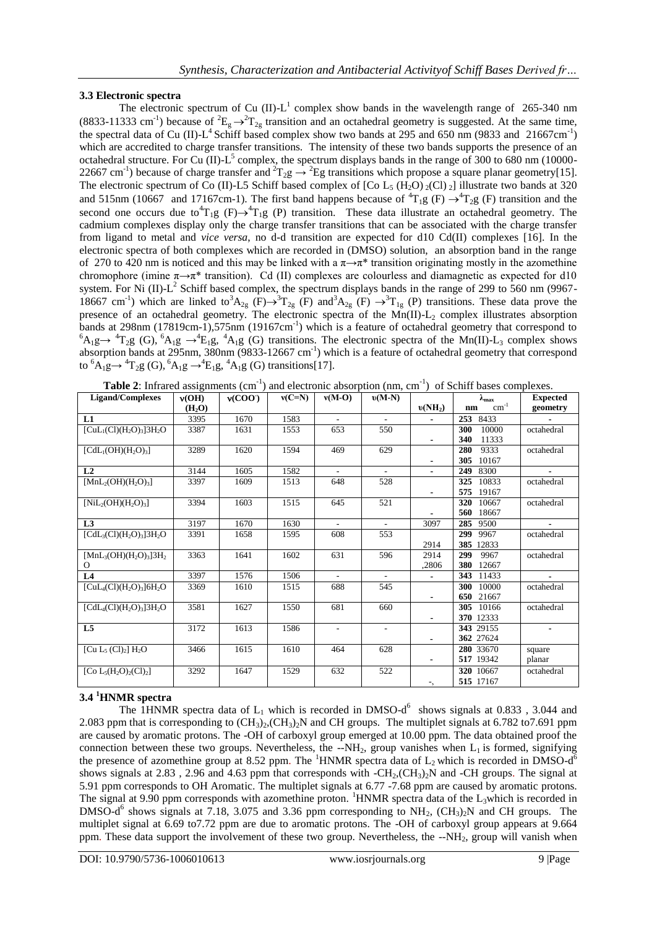## **3.3 Electronic spectra**

The electronic spectrum of Cu (II)- $L<sup>1</sup>$  complex show bands in the wavelength range of 265-340 nm (8833-11333 cm<sup>-1</sup>) because of <sup>2</sup>E<sub>g</sub>  $\rightarrow$ <sup>2</sup>T<sub>2g</sub> transition and an octahedral geometry is suggested. At the same time, the spectral data of Cu (II)- $L^4$  Schiff based complex show two bands at 295 and 650 nm (9833 and 21667cm<sup>-1</sup>) which are accredited to charge transfer transitions. The intensity of these two bands supports the presence of an octahedral structure. For Cu (II)- $L^5$  complex, the spectrum displays bands in the range of 300 to 680 nm (10000-22667 cm<sup>-1</sup>) because of charge transfer and  ${}^{2}T_{2}g \rightarrow {}^{2}Eg$  transitions which propose a square planar geometry[15]. The electronic spectrum of Co (II)-L5 Schiff based complex of [Co L<sub>5</sub> (H<sub>2</sub>O) <sub>2</sub>(Cl) <sub>2</sub>] illustrate two bands at 320 and 515nm (10667 and 17167cm-1). The first band happens because of  ${}^4T_1g$  (F)  $\rightarrow {}^4T_2g$  (F) transition and the second one occurs due to  $T_1g$  (F)  $\rightarrow$   $T_1g$  (P) transition. These data illustrate an octahedral geometry. The cadmium complexes display only the charge transfer transitions that can be associated with the charge transfer from ligand to metal and *vice versa*, no d-d transition are expected for d10 Cd(II) complexes [16]. In the electronic spectra of both complexes which are recorded in (DMSO) solution, an absorption band in the range of 270 to 420 nm is noticed and this may be linked with a  $\pi \rightarrow \pi^*$  transition originating mostly in the azomethine chromophore (imine  $\pi \rightarrow \pi^*$  transition). Cd (II) complexes are colourless and diamagnetic as expected for d10 system. For Ni (II)-L<sup>2</sup> Schiff based complex, the spectrum displays bands in the range of 299 to 560 nm (9967-18667 cm<sup>-1</sup>) which are linked to<sup>3</sup>A<sub>2g</sub> (F) $\rightarrow$ <sup>3</sup>T<sub>2g</sub> (F) and<sup>3</sup>A<sub>2g</sub> (F)  $\rightarrow$ <sup>3</sup>T<sub>1g</sub> (P) transitions. These data prove the presence of an octahedral geometry. The electronic spectra of the  $Mn(II)-L<sub>2</sub>$  complex illustrates absorption bands at 298nm (17819cm-1),575nm (19167cm<sup>-1</sup>) which is a feature of octahedral geometry that correspond to  ${}^6A_1g \rightarrow {}^4T_2g$  (G),  ${}^6A_1g \rightarrow {}^4E_1g$ ,  ${}^4A_1g$  (G) transitions. The electronic spectra of the Mn(II)-L<sub>3</sub> complex shows absorption bands at 295nm, 380nm (9833-12667 cm<sup>-1</sup>) which is a feature of octahedral geometry that correspond to  ${}^{6}A_1g \rightarrow {}^{4}T_2g$  (G),  ${}^{6}A_1g \rightarrow {}^{4}E_1g$ ,  ${}^{4}A_1g$  (G) transitions[17].

| <b>Ligand/Complexes</b>                                       | v(OH)              | v(COO) | $v(C=N)$ | $v(M-O)$                 | $v(M-N)$                 |                | $\lambda_{\text{max}}$ | <b>Expected</b> |
|---------------------------------------------------------------|--------------------|--------|----------|--------------------------|--------------------------|----------------|------------------------|-----------------|
|                                                               | (H <sub>2</sub> O) |        |          |                          |                          | $v(NH_2)$      | $cm^{-1}$<br>nm        | geometry        |
| L1                                                            | 3395               | 1670   | 1583     |                          |                          |                | 253<br>8433            |                 |
| $[CuL1(Cl)(H2O)3]3H2O$                                        | 3387               | 1631   | 1553     | 653                      | 550                      |                | 10000<br>300           | octahedral      |
|                                                               |                    |        |          |                          |                          | $\blacksquare$ | 340<br>11333           |                 |
| $\lbrack\text{CdL}_1(\text{OH})(\text{H}_2\text{O})_3\rbrack$ | 3289               | 1620   | 1594     | 469                      | 629                      |                | 9333<br>280            | octahedral      |
|                                                               |                    |        |          |                          |                          |                | 10167<br>305           |                 |
| L <sub>2</sub>                                                | 3144               | 1605   | 1582     |                          |                          |                | 249<br>8300            |                 |
| $[MnL2(OH)(H2O)3]$                                            | 3397               | 1609   | 1513     | 648                      | 528                      |                | 325<br>10833           | octahedral      |
|                                                               |                    |        |          |                          |                          | $\blacksquare$ | 575<br>19167           |                 |
| $[NiL_2(OH)(H_2O)_3]$                                         | 3394               | 1603   | 1515     | 645                      | 521                      |                | 10667<br>320           | octahedral      |
|                                                               |                    |        |          |                          |                          |                | 18667<br>560           |                 |
| L3                                                            | 3197               | 1670   | 1630     | $\overline{\phantom{0}}$ | $\sim$                   | 3097           | 285<br>9500            |                 |
| $[CdL3(Cl)(H2O)3]3H2O$                                        | 3391               | 1658   | 1595     | 608                      | 553                      |                | 299<br>9967            | octahedral      |
|                                                               |                    |        |          |                          |                          | 2914           | 385<br>12833           |                 |
| $[MnL_3(OH)(H_2O)_3]3H_2$                                     | 3363               | 1641   | 1602     | 631                      | 596                      | 2914           | 299<br>9967            | octahedral      |
| $\Omega$                                                      |                    |        |          |                          |                          | ,2806          | 12667<br>380           |                 |
| L <sub>4</sub>                                                | 3397               | 1576   | 1506     | ÷.                       | $\sim$                   | $\blacksquare$ | 343<br>11433           | $\blacksquare$  |
| $[CuL4(Cl)(H2O)3]6H2O$                                        | 3369               | 1610   | 1515     | 688                      | 545                      |                | 10000<br>300           | octahedral      |
|                                                               |                    |        |          |                          |                          | $\blacksquare$ | 21667<br>650           |                 |
| $[CdL_4(Cl)(H_2O)_3]3H_2O$                                    | 3581               | 1627   | 1550     | 681                      | 660                      |                | 305<br>10166           | octahedral      |
|                                                               |                    |        |          |                          |                          |                | 370 12333              |                 |
| L <sub>5</sub>                                                | 3172               | 1613   | 1586     | $\overline{\phantom{a}}$ | $\overline{\phantom{a}}$ |                | 343 29155              | $\blacksquare$  |
|                                                               |                    |        |          |                          |                          | $\blacksquare$ | 362 27624              |                 |
| [Cu $L_5$ (Cl) <sub>2</sub> ] $H_2O$                          | 3466               | 1615   | 1610     | 464                      | 628                      |                | 280 33670              | square          |
|                                                               |                    |        |          |                          |                          | $\blacksquare$ | 517 19342              | planar          |
| [Co $L_5(H_2O)_2(Cl)_2$ ]                                     | 3292               | 1647   | 1529     | 632                      | 522                      |                | 320 10667              | octahedral      |
|                                                               |                    |        |          |                          |                          | -,             | 515 17167              |                 |

## **3.4 <sup>1</sup>HNMR spectra**

The 1HNMR spectra data of  $L_1$  which is recorded in DMSO-d<sup>6</sup> shows signals at 0.833, 3.044 and 2.083 ppm that is corresponding to  $(CH_3)_2$ ,  $CH_3)_2N$  and CH groups. The multiplet signals at 6.782 to7.691 ppm are caused by aromatic protons. The -OH of carboxyl group emerged at 10.00 ppm. The data obtained proof the connection between these two groups. Nevertheless, the  $-NH<sub>2</sub>$ , group vanishes when  $L<sub>1</sub>$  is formed, signifying the presence of azomethine group at 8.52 ppm. The <sup>1</sup>HNMR spectra data of  $L_2$  which is recorded in DMSO-d<sup>6</sup> shows signals at 2.83, 2.96 and 4.63 ppm that corresponds with  $-CH_2, (CH_3)_2N$  and  $-CH$  groups. The signal at 5.91 ppm corresponds to OH Aromatic. The multiplet signals at 6.77 -7.68 ppm are caused by aromatic protons. The signal at 9.90 ppm corresponds with azomethine proton. <sup>1</sup>HNMR spectra data of the L<sub>3</sub>which is recorded in DMSO-d<sup>6</sup> shows signals at 7.18, 3.075 and 3.36 ppm corresponding to NH<sub>2</sub>, (CH<sub>3</sub>)<sub>2</sub>N and CH groups. The multiplet signal at 6.69 to7.72 ppm are due to aromatic protons. The -OH of carboxyl group appears at 9.664 ppm. These data support the involvement of these two group. Nevertheless, the --NH<sub>2</sub>, group will vanish when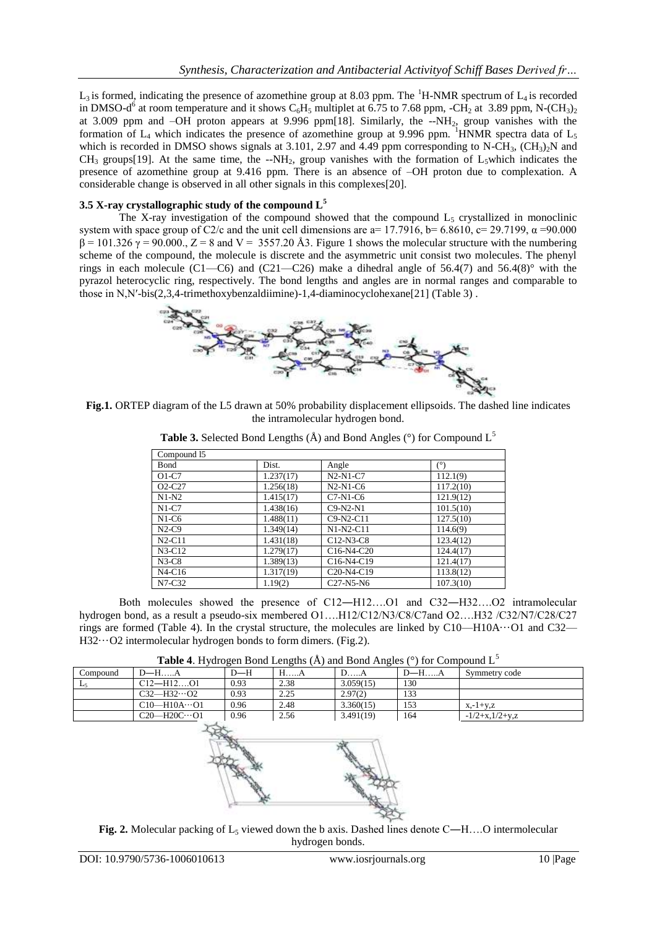$L_3$  is formed, indicating the presence of azomethine group at 8.03 ppm. The <sup>1</sup>H-NMR spectrum of  $L_4$  is recorded in DMSO-d<sup>6</sup> at room temperature and it shows C<sub>6</sub>H<sub>5</sub> multiplet at 6.75 to 7.68 ppm, -CH<sub>2</sub> at 3.89 ppm, N-(CH<sub>3</sub>)<sub>2</sub> at 3.009 ppm and –OH proton appears at 9.996 ppm[18]. Similarly, the --NH2, group vanishes with the formation of  $L_4$  which indicates the presence of azomethine group at 9.996 ppm. <sup>1</sup>HNMR spectra data of  $L_5$ which is recorded in DMSO shows signals at 3.101, 2.97 and 4.49 ppm corresponding to N-CH<sub>3</sub>,  $(CH_3)_2N$  and  $CH_3$  groups[19]. At the same time, the --NH<sub>2</sub>, group vanishes with the formation of L<sub>5</sub>which indicates the presence of azomethine group at 9.416 ppm. There is an absence of –OH proton due to complexation. A considerable change is observed in all other signals in this complexes[20].

# **3.5 X-ray crystallographic study of the compound L<sup>5</sup>**

The X-ray investigation of the compound showed that the compound  $L_5$  crystallized in monoclinic system with space group of C2/c and the unit cell dimensions are a= 17.7916, b= 6.8610, c= 29.7199,  $\alpha$ =90.000  $β = 101.326 γ = 90.000$ ,  $Z = 8$  and  $V = 3557.20$  Å3. Figure 1 shows the molecular structure with the numbering scheme of the compound, the molecule is discrete and the asymmetric unit consist two molecules. The phenyl rings in each molecule (C1—C6) and (C21—C26) make a dihedral angle of 56.4(7) and 56.4(8)° with the pyrazol heterocyclic ring, respectively. The bond lengths and angles are in normal ranges and comparable to those in N,N′-bis(2,3,4-trimethoxybenzaldiimine)-1,4-diaminocyclohexane[21] (Table 3) .



**Fig.1.** ORTEP diagram of the L5 drawn at 50% probability displacement ellipsoids. The dashed line indicates the intramolecular hydrogen bond.

| Compound 15 |           |                                                  |           |
|-------------|-----------|--------------------------------------------------|-----------|
| Bond        | Dist.     | Angle                                            | (°)       |
| $O1-C7$     | 1.237(17) | $N2-N1-C7$                                       | 112.1(9)  |
| $O2-C27$    | 1.256(18) | $N2-N1-C6$                                       | 117.2(10) |
| $N1-N2$     | 1.415(17) | $C7-N1-C6$                                       | 121.9(12) |
| $N1-C7$     | 1.438(16) | $C9-N2-N1$                                       | 101.5(10) |
| $N1-C6$     | 1.488(11) | $C9-N2-C11$                                      | 127.5(10) |
| $N2-C9$     | 1.349(14) | $N1-N2-C11$                                      | 114.6(9)  |
| $N2-C11$    | 1.431(18) | $C12-N3-C8$                                      | 123.4(12) |
| $N3-C12$    | 1.279(17) | C <sub>16</sub> -N <sub>4</sub> -C <sub>20</sub> | 124.4(17) |
| $N3-C8$     | 1.389(13) | C16-N4-C19                                       | 121.4(17) |
| $N4-C16$    | 1.317(19) | C <sub>20</sub> -N <sub>4</sub> -C <sub>19</sub> | 113.8(12) |
| $N7-C32$    | 1.19(2)   | $C27-N5-N6$                                      | 107.3(10) |

**Table 3.** Selected Bond Lengths  $(\hat{A})$  and Bond Angles  $(°)$  for Compound L<sup>5</sup>

Both molecules showed the presence of C12―H12….O1 and C32―H32….O2 intramolecular hydrogen bond, as a result a pseudo-six membered O1….H12/C12/N3/C8/C7and O2….H32 /C32/N7/C28/C27 rings are formed (Table 4). In the crystal structure, the molecules are linked by  $C10$ —H $10A...O1$  and C32— H32···O2 intermolecular hydrogen bonds to form dimers. (Fig.2).

**Table 4.** Hydrogen Bond Lengths  $(\hat{A})$  and Bond Angles  $(^\circ)$  for Compound L<sup>5</sup>

| Compound  | $D-H$ $A$              | D—H  | 1.1.14 | DA        | $D$ —H $A$ | Symmetry code     |
|-----------|------------------------|------|--------|-----------|------------|-------------------|
| <b>LA</b> | $Cl2-H12O1$            | 0.93 | 2.38   | 3.059(15) | 130        |                   |
|           | $C32 - H32 \cdots 02$  | 0.93 | 2.25   | 2.97(2)   | 133        |                   |
|           | $C10$ —H10A…O1         | 0.96 | 2.48   | 3.360(15) | 153        | $x - 1 + v z$     |
|           | $C20 - H20C \cdots 01$ | 0.96 | 2.56   | 3.491(19) | 164        | $-1/2+x.1/2+v. z$ |



**Fig. 2.** Molecular packing of  $L_5$  viewed down the b axis. Dashed lines denote C—H....O intermolecular hydrogen bonds.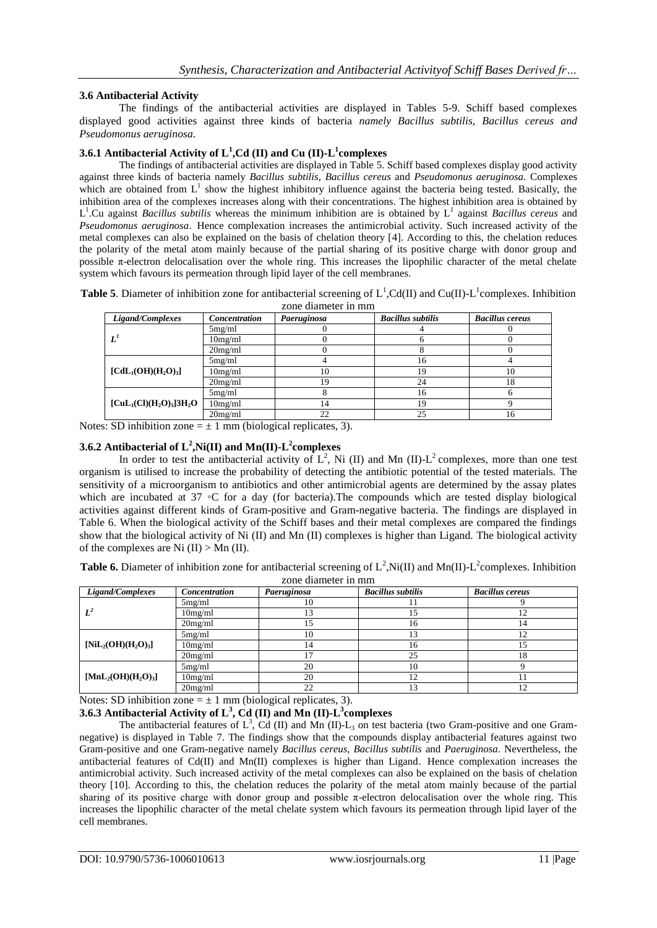#### **3.6 Antibacterial Activity**

The findings of the antibacterial activities are displayed in Tables 5-9. Schiff based complexes displayed good activities against three kinds of bacteria *namely Bacillus subtilis, Bacillus cereus and Pseudomonus aeruginosa.*

#### **3.6.1 Antibacterial Activity of L<sup>1</sup> ,Cd (II) and Cu (II)-L 1 complexes**

The findings of antibacterial activities are displayed in Table 5. Schiff based complexes display good activity against three kinds of bacteria namely *Bacillus subtilis, Bacillus cereus* and *Pseudomonus aeruginosa.* Complexes which are obtained from  $L^1$  show the highest inhibitory influence against the bacteria being tested. Basically, the inhibition area of the complexes increases along with their concentrations. The highest inhibition area is obtained by L 1 .Cu against *Bacillus subtilis* whereas the minimum inhibition are is obtained by L*<sup>1</sup>* against *Bacillus cereus* and *Pseudomonus aeruginosa*. Hence complexation increases the antimicrobial activity. Such increased activity of the metal complexes can also be explained on the basis of chelation theory [4]. According to this, the chelation reduces the polarity of the metal atom mainly because of the partial sharing of its positive charge with donor group and possible π-electron delocalisation over the whole ring. This increases the lipophilic character of the metal chelate system which favours its permeation through lipid layer of the cell membranes.

**Table 5**. Diameter of inhibition zone for antibacterial screening of  $L^1$ , Cd(II) and Cu(II)- $L^1$ complexes. Inhibition zone diameter in mm

| 20110 0101110101 111 111111                                          |               |             |                          |                        |  |  |
|----------------------------------------------------------------------|---------------|-------------|--------------------------|------------------------|--|--|
| Ligand/Complexes                                                     | Concentration | Paeruginosa | <b>Bacillus subtilis</b> | <b>Bacillus cereus</b> |  |  |
|                                                                      | 5mg/ml        |             |                          |                        |  |  |
| $L^I$                                                                | 10mg/ml       |             |                          |                        |  |  |
|                                                                      | 20mg/ml       |             |                          |                        |  |  |
| $\text{[CdL}_1(\text{OH})(\text{H}_2\text{O})_3$                     | 5mg/ml        |             | 16                       |                        |  |  |
|                                                                      | 10mg/ml       | 10          |                          | 10                     |  |  |
|                                                                      | 20mg/ml       |             | 24                       | 18                     |  |  |
| $\text{[CuL}_1\text{(Cl)(H}_2\text{O)}_3\text{]}3\text{H}_2\text{O}$ | 5mg/ml        |             | 16                       |                        |  |  |
|                                                                      | 10mg/ml       | 14          | 19                       |                        |  |  |
|                                                                      | 20mg/ml       |             | 25                       | 16                     |  |  |

Notes: SD inhibition zone  $= \pm 1$  mm (biological replicates, 3).

#### **3.6.2 Antibacterial of L<sup>2</sup> ,Ni(II) and Mn(II)-L 2 complexes**

In order to test the antibacterial activity of  $L^2$ , Ni (II) and Mn (II)- $L^2$  complexes, more than one test organism is utilised to increase the probability of detecting the antibiotic potential of the tested materials. The sensitivity of a microorganism to antibiotics and other antimicrobial agents are determined by the assay plates which are incubated at 37 °C for a day (for bacteria).The compounds which are tested display biological activities against different kinds of Gram-positive and Gram-negative bacteria. The findings are displayed in Table 6. When the biological activity of the Schiff bases and their metal complexes are compared the findings show that the biological activity of Ni (II) and Mn (II) complexes is higher than Ligand. The biological activity of the complexes are Ni  $(II)$  > Mn  $(II)$ .

**Table 6.** Diameter of inhibition zone for antibacterial screening of  $L^2$ , Ni(II) and Mn(II)- $L^2$ complexes. Inhibition zone diameter in mm

| Ligand/Complexes      | Concentration | Paeruginosa | <b>Bacillus subtilis</b> | <b>Bacillus cereus</b> |
|-----------------------|---------------|-------------|--------------------------|------------------------|
|                       | 5mg/ml        | 10          |                          |                        |
| $L^2$                 | 10mg/ml       | 13          | 15                       |                        |
|                       | 20mg/ml       | 15          | 16                       | 14                     |
|                       | 5mg/ml        | 10          | 13                       |                        |
| $[NiL_2(OH)(H_2O)_3]$ | 10mg/ml       | 14          | 16                       |                        |
|                       | 20mg/ml       |             | 25                       | 18                     |
|                       | 5mg/ml        | 20          | 10                       |                        |
| $[MnL2(OH)(H2O)3]$    | 10mg/ml       | 20          | 12                       |                        |
|                       | 20mg/ml       | 22          | 13                       |                        |

Notes: SD inhibition zone  $= \pm 1$  mm (biological replicates, 3).

# **3.6.3 Antibacterial Activity of L<sup>3</sup> , Cd (II) and Mn (II)-L 3 complexes**

The antibacterial features of  $L^3$ , Cd (II) and Mn (II)- $L_3$  on test bacteria (two Gram-positive and one Gramnegative) is displayed in Table 7. The findings show that the compounds display antibacterial features against two Gram-positive and one Gram-negative namely *Bacillus cereus, Bacillus subtilis* and *Paeruginosa*. Nevertheless, the antibacterial features of Cd(II) and Mn(II) complexes is higher than Ligand. Hence complexation increases the antimicrobial activity. Such increased activity of the metal complexes can also be explained on the basis of chelation theory [10]. According to this, the chelation reduces the polarity of the metal atom mainly because of the partial sharing of its positive charge with donor group and possible  $\pi$ -electron delocalisation over the whole ring. This increases the lipophilic character of the metal chelate system which favours its permeation through lipid layer of the cell membranes.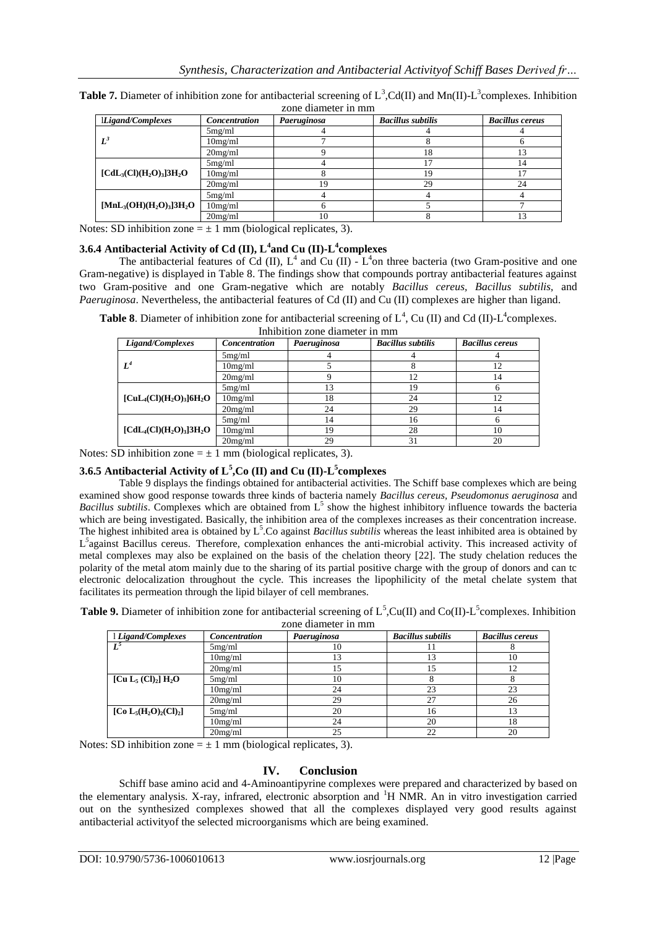| Ligand/Complexes                                                     | Concentration | Paeruginosa | <b>Bacillus subtilis</b> | <b>Bacillus cereus</b> |
|----------------------------------------------------------------------|---------------|-------------|--------------------------|------------------------|
|                                                                      | 5mg/ml        |             |                          |                        |
| $L^3$                                                                | 10mg/ml       |             |                          |                        |
|                                                                      | 20mg/ml       |             | 18                       | 13                     |
|                                                                      | 5mg/ml        |             | $\overline{7}$           | 14                     |
| $\text{[CdL}_3\text{(Cl)(H}_2\text{O)}_3\text{]}3\text{H}_2\text{O}$ | 10mg/ml       |             | 19                       |                        |
|                                                                      | 20mg/ml       | 19          | 29                       | 24                     |
|                                                                      | 5mg/ml        |             |                          |                        |
| $[MnL_3(OH)(H_2O)_3]3H_2O$                                           | 10mg/ml       |             |                          |                        |
|                                                                      | 20me/ml       | 10          |                          | 13                     |

**Table 7.** Diameter of inhibition zone for antibacterial screening of  $L^3$ , Cd(II) and Mn(II)- $L^3$ complexes. Inhibition zone diameter in mm

Notes: SD inhibition zone  $= \pm 1$  mm (biological replicates, 3).

# **3.6.4 Antibacterial Activity of Cd (II), L<sup>4</sup> and Cu (II)-L 4 complexes**

The antibacterial features of Cd (II),  $L^4$  and Cu (II) -  $L^4$  on three bacteria (two Gram-positive and one Gram-negative) is displayed in Table 8. The findings show that compounds portray antibacterial features against two Gram-positive and one Gram-negative which are notably *Bacillus cereus, Bacillus subtilis,* and *Paeruginosa*. Nevertheless, the antibacterial features of Cd (II) and Cu (II) complexes are higher than ligand.

**Table 8.** Diameter of inhibition zone for antibacterial screening of  $L^4$ , Cu (II) and Cd (II)- $L^4$ complexes. Inhibition zone diameter in mm

| Ligand/Complexes                                                     | Concentration | Paeruginosa | <b>Bacillus subtilis</b> | <b>Bacillus cereus</b> |
|----------------------------------------------------------------------|---------------|-------------|--------------------------|------------------------|
|                                                                      | 5mg/ml        |             |                          |                        |
| $L^4$                                                                | 10mg/ml       |             |                          | 12                     |
|                                                                      | 20mg/ml       |             | 12                       | 14                     |
| $\text{[CuL}_4\text{(Cl)(H}_2\text{O)}_3\text{]}6\text{H}_2\text{O}$ | 5mg/ml        | 13          | 19                       |                        |
|                                                                      | 10mg/ml       | 18          | 24                       | 12                     |
|                                                                      | 20mg/ml       | 24          | 29                       | 14                     |
|                                                                      | 5mg/ml        | 14          | 16                       | h                      |
| $[CdL4(Cl)(H2O)3]3H2O$                                               | 10mg/ml       | 19          | 28                       | 10                     |
|                                                                      | 20mg/ml       | 29          | 31                       | 20                     |

Notes: SD inhibition zone  $= \pm 1$  mm (biological replicates, 3).

# **3.6.5 Antibacterial Activity of L<sup>5</sup> ,Co (II) and Cu (II)-L 5 complexes**

Table 9 displays the findings obtained for antibacterial activities. The Schiff base complexes which are being examined show good response towards three kinds of bacteria namely *Bacillus cereus, Pseudomonus aeruginosa* and Bacillus subtilis. Complexes which are obtained from L<sup>5</sup> show the highest inhibitory influence towards the bacteria which are being investigated. Basically, the inhibition area of the complexes increases as their concentration increase. The highest inhibited area is obtained by  $L^5$ . Co against *Bacillus subtilis* whereas the least inhibited area is obtained by L<sup>5</sup> against Bacillus cereus. Therefore, complexation enhances the anti-microbial activity. This increased activity of metal complexes may also be explained on the basis of the chelation theory [22]. The study chelation reduces the polarity of the metal atom mainly due to the sharing of its partial positive charge with the group of donors and can tc electronic delocalization throughout the cycle. This increases the lipophilicity of the metal chelate system that facilitates its permeation through the lipid bilayer of cell membranes.

**Table 9.** Diameter of inhibition zone for antibacterial screening of  $L^5$ , Cu(II) and Co(II)- $L^5$ complexes. Inhibition zone diameter in mm

| 1 Ligand/Complexes                                              | Concentration | Paeruginosa | <b>Bacillus subtilis</b> | <b>Bacillus cereus</b> |
|-----------------------------------------------------------------|---------------|-------------|--------------------------|------------------------|
| $L^5$                                                           | 5mg/ml        | 10          |                          |                        |
|                                                                 | 10mg/ml       | 13          | 13                       | 10                     |
|                                                                 | 20mg/ml       | 15          | כ ו                      | 12                     |
| [Cu $\mathrm{L}_5$ (Cl) <sub>2</sub> ] $\mathrm{H}_2\mathrm{O}$ | 5mg/ml        | 10          |                          |                        |
|                                                                 | 10mg/ml       | 24          | 23                       | 23                     |
|                                                                 | 20mg/ml       | 29          | 27                       | 26                     |
| [Co $L_5(H_2O)_2(Cl)_2$ ]                                       | 5mg/ml        | 20          | 16                       | 13                     |
|                                                                 | 10mg/ml       | 24          | 20                       | 18                     |
|                                                                 | 20mg/ml       | 25          | າາ                       | 20                     |

Notes:  $\overline{SD}$  inhibition zone =  $\pm$  1 mm (biological replicates, 3).

## **IV. Conclusion**

Schiff base amino acid and 4-Aminoantipyrine complexes were prepared and characterized by based on the elementary analysis. X-ray, infrared, electronic absorption and <sup>1</sup>H NMR. An in vitro investigation carried out on the synthesized complexes showed that all the complexes displayed very good results against antibacterial activityof the selected microorganisms which are being examined.